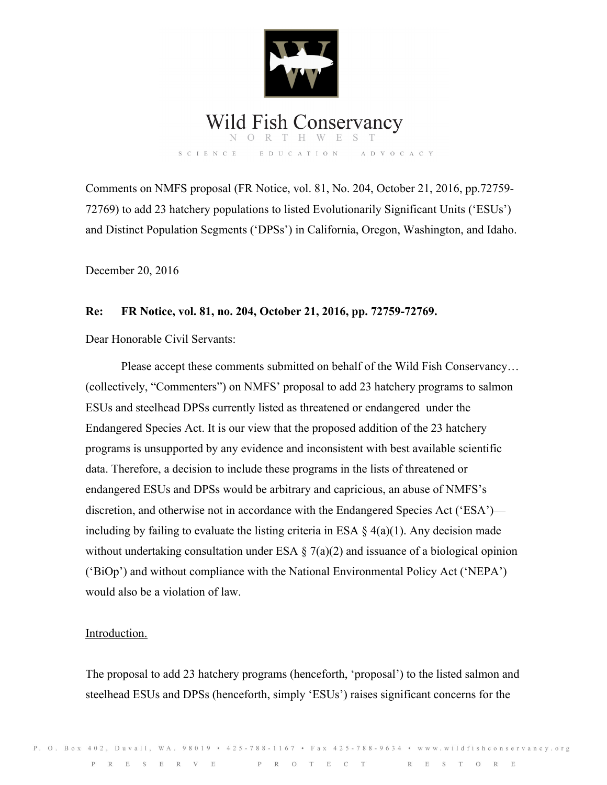

# Wild Fish Conservancy

SCIENCE EDUCATION ADVOCACY

Comments on NMFS proposal (FR Notice, vol. 81, No. 204, October 21, 2016, pp.72759- 72769) to add 23 hatchery populations to listed Evolutionarily Significant Units ('ESUs') and Distinct Population Segments ('DPSs') in California, Oregon, Washington, and Idaho.

December 20, 2016

# **Re: FR Notice, vol. 81, no. 204, October 21, 2016, pp. 72759-72769.**

Dear Honorable Civil Servants:

 Please accept these comments submitted on behalf of the Wild Fish Conservancy… (collectively, "Commenters") on NMFS' proposal to add 23 hatchery programs to salmon ESUs and steelhead DPSs currently listed as threatened or endangered under the Endangered Species Act. It is our view that the proposed addition of the 23 hatchery programs is unsupported by any evidence and inconsistent with best available scientific data. Therefore, a decision to include these programs in the lists of threatened or endangered ESUs and DPSs would be arbitrary and capricious, an abuse of NMFS's discretion, and otherwise not in accordance with the Endangered Species Act ('ESA') including by failing to evaluate the listing criteria in ESA  $\S$  4(a)(1). Any decision made without undertaking consultation under ESA  $\S$  7(a)(2) and issuance of a biological opinion ('BiOp') and without compliance with the National Environmental Policy Act ('NEPA') would also be a violation of law.

## Introduction.

The proposal to add 23 hatchery programs (henceforth, 'proposal') to the listed salmon and steelhead ESUs and DPSs (henceforth, simply 'ESUs') raises significant concerns for the

P. O. Box 402, Duvall, WA. 98019 • 425-788-1167 • Fax 425-788-9634 • www.wildfishconservancy.org PRESERVE PROTECT RESTORE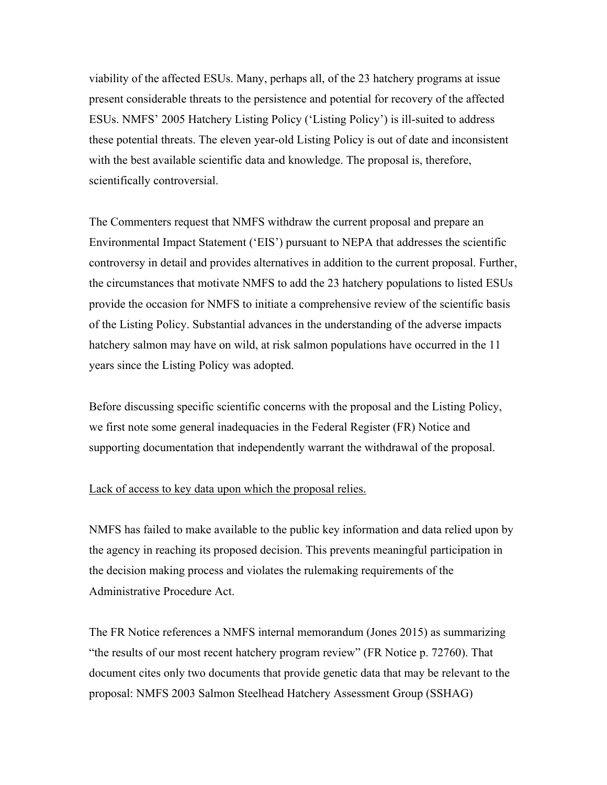viability of the affected ESUs. Many, perhaps all, of the 23 hatchery programs at issue present considerable threats to the persistence and potential for recovery of the affected ESUs. NMFS' 2005 Hatchery Listing Policy ('Listing Policy') is ill-suited to address these potential threats. The eleven year-old Listing Policy is out of date and inconsistent with the best available scientific data and knowledge. The proposal is, therefore, scientifically controversial.

The Commenters request that NMFS withdraw the current proposal and prepare an Environmental Impact Statement ('EIS') pursuant to NEPA that addresses the scientific controversy in detail and provides alternatives in addition to the current proposal. Further, the circumstances that motivate NMFS to add the 23 hatchery populations to listed ESUs provide the occasion for NMFS to initiate a comprehensive review of the scientific basis of the Listing Policy. Substantial advances in the understanding of the adverse impacts hatchery salmon may have on wild, at risk salmon populations have occurred in the 11 years since the Listing Policy was adopted.

Before discussing specific scientific concerns with the proposal and the Listing Policy, we first note some general inadequacies in the Federal Register (FR) Notice and supporting documentation that independently warrant the withdrawal of the proposal.

#### Lack of access to key data upon which the proposal relies.

NMFS has failed to make available to the public key information and data relied upon by the agency in reaching its proposed decision. This prevents meaningful participation in the decision making process and violates the rulemaking requirements of the Administrative Procedure Act.

The FR Notice references a NMFS internal memorandum (Jones 2015) as summarizing "the results of our most recent hatchery program review" (FR Notice p. 72760). That document cites only two documents that provide genetic data that may be relevant to the proposal: NMFS 2003 Salmon Steelhead Hatchery Assessment Group (SSHAG)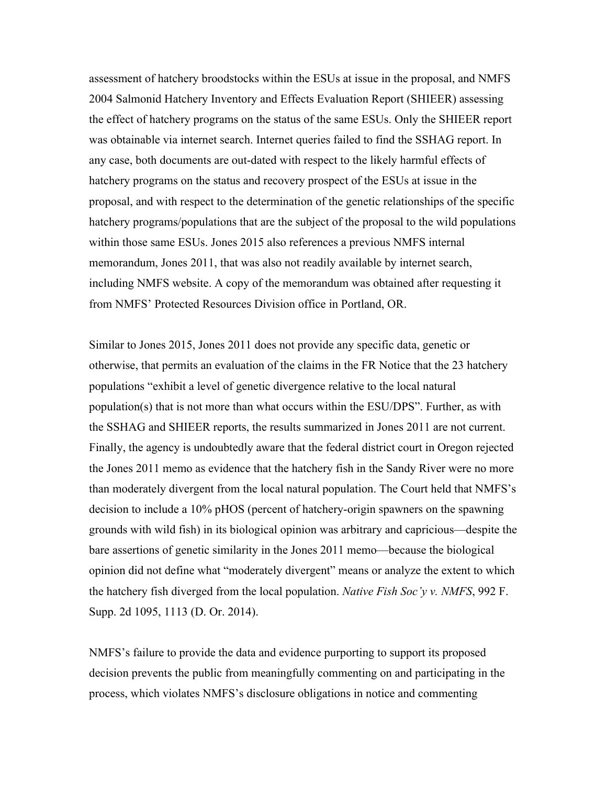assessment of hatchery broodstocks within the ESUs at issue in the proposal, and NMFS 2004 Salmonid Hatchery Inventory and Effects Evaluation Report (SHIEER) assessing the effect of hatchery programs on the status of the same ESUs. Only the SHIEER report was obtainable via internet search. Internet queries failed to find the SSHAG report. In any case, both documents are out-dated with respect to the likely harmful effects of hatchery programs on the status and recovery prospect of the ESUs at issue in the proposal, and with respect to the determination of the genetic relationships of the specific hatchery programs/populations that are the subject of the proposal to the wild populations within those same ESUs. Jones 2015 also references a previous NMFS internal memorandum, Jones 2011, that was also not readily available by internet search, including NMFS website. A copy of the memorandum was obtained after requesting it from NMFS' Protected Resources Division office in Portland, OR.

Similar to Jones 2015, Jones 2011 does not provide any specific data, genetic or otherwise, that permits an evaluation of the claims in the FR Notice that the 23 hatchery populations "exhibit a level of genetic divergence relative to the local natural population(s) that is not more than what occurs within the ESU/DPS". Further, as with the SSHAG and SHIEER reports, the results summarized in Jones 2011 are not current. Finally, the agency is undoubtedly aware that the federal district court in Oregon rejected the Jones 2011 memo as evidence that the hatchery fish in the Sandy River were no more than moderately divergent from the local natural population. The Court held that NMFS's decision to include a 10% pHOS (percent of hatchery-origin spawners on the spawning grounds with wild fish) in its biological opinion was arbitrary and capricious—despite the bare assertions of genetic similarity in the Jones 2011 memo—because the biological opinion did not define what "moderately divergent" means or analyze the extent to which the hatchery fish diverged from the local population. *Native Fish Soc'y v. NMFS*, 992 F. Supp. 2d 1095, 1113 (D. Or. 2014).

NMFS's failure to provide the data and evidence purporting to support its proposed decision prevents the public from meaningfully commenting on and participating in the process, which violates NMFS's disclosure obligations in notice and commenting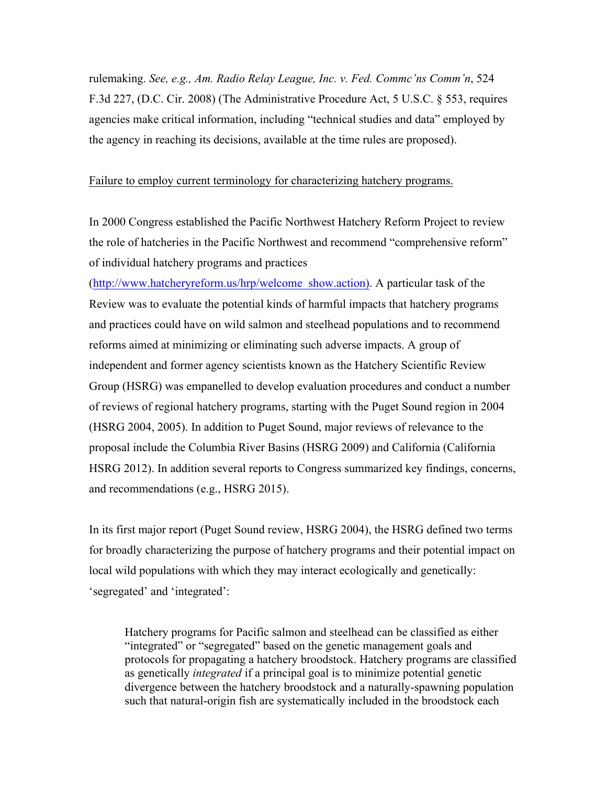rulemaking. *See, e.g., Am. Radio Relay League, Inc. v. Fed. Commc'ns Comm'n*, 524 F.3d 227, (D.C. Cir. 2008) (The Administrative Procedure Act, 5 U.S.C. § 553, requires agencies make critical information, including "technical studies and data" employed by the agency in reaching its decisions, available at the time rules are proposed).

#### Failure to employ current terminology for characterizing hatchery programs.

In 2000 Congress established the Pacific Northwest Hatchery Reform Project to review the role of hatcheries in the Pacific Northwest and recommend "comprehensive reform" of individual hatchery programs and practices

(http://www.hatcheryreform.us/hrp/welcome\_show.action). A particular task of the Review was to evaluate the potential kinds of harmful impacts that hatchery programs and practices could have on wild salmon and steelhead populations and to recommend reforms aimed at minimizing or eliminating such adverse impacts. A group of independent and former agency scientists known as the Hatchery Scientific Review Group (HSRG) was empanelled to develop evaluation procedures and conduct a number of reviews of regional hatchery programs, starting with the Puget Sound region in 2004 (HSRG 2004, 2005). In addition to Puget Sound, major reviews of relevance to the proposal include the Columbia River Basins (HSRG 2009) and California (California HSRG 2012). In addition several reports to Congress summarized key findings, concerns, and recommendations (e.g., HSRG 2015).

In its first major report (Puget Sound review, HSRG 2004), the HSRG defined two terms for broadly characterizing the purpose of hatchery programs and their potential impact on local wild populations with which they may interact ecologically and genetically: 'segregated' and 'integrated':

Hatchery programs for Pacific salmon and steelhead can be classified as either "integrated" or "segregated" based on the genetic management goals and protocols for propagating a hatchery broodstock. Hatchery programs are classified as genetically *integrated* if a principal goal is to minimize potential genetic divergence between the hatchery broodstock and a naturally-spawning population such that natural-origin fish are systematically included in the broodstock each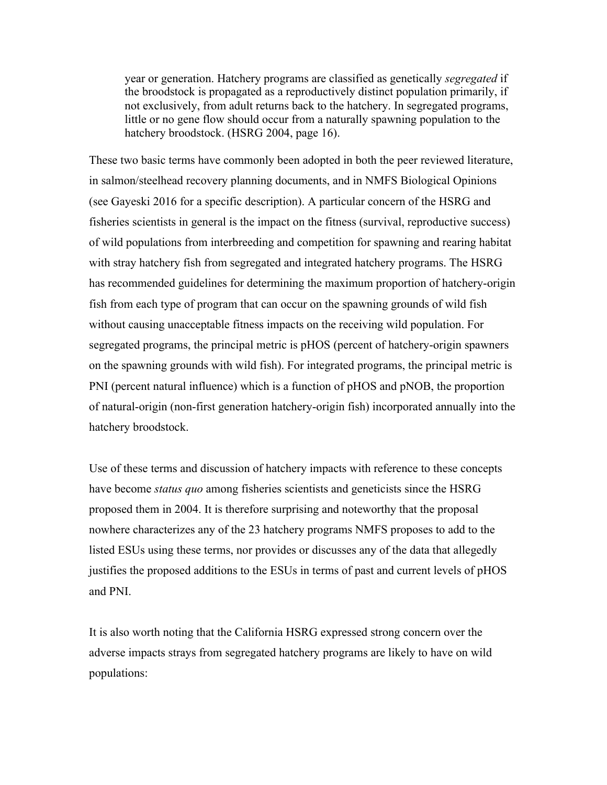year or generation. Hatchery programs are classified as genetically *segregated* if the broodstock is propagated as a reproductively distinct population primarily, if not exclusively, from adult returns back to the hatchery. In segregated programs, little or no gene flow should occur from a naturally spawning population to the hatchery broodstock. (HSRG 2004, page 16).

These two basic terms have commonly been adopted in both the peer reviewed literature, in salmon/steelhead recovery planning documents, and in NMFS Biological Opinions (see Gayeski 2016 for a specific description). A particular concern of the HSRG and fisheries scientists in general is the impact on the fitness (survival, reproductive success) of wild populations from interbreeding and competition for spawning and rearing habitat with stray hatchery fish from segregated and integrated hatchery programs. The HSRG has recommended guidelines for determining the maximum proportion of hatchery-origin fish from each type of program that can occur on the spawning grounds of wild fish without causing unacceptable fitness impacts on the receiving wild population. For segregated programs, the principal metric is pHOS (percent of hatchery-origin spawners on the spawning grounds with wild fish). For integrated programs, the principal metric is PNI (percent natural influence) which is a function of pHOS and pNOB, the proportion of natural-origin (non-first generation hatchery-origin fish) incorporated annually into the hatchery broodstock.

Use of these terms and discussion of hatchery impacts with reference to these concepts have become *status quo* among fisheries scientists and geneticists since the HSRG proposed them in 2004. It is therefore surprising and noteworthy that the proposal nowhere characterizes any of the 23 hatchery programs NMFS proposes to add to the listed ESUs using these terms, nor provides or discusses any of the data that allegedly justifies the proposed additions to the ESUs in terms of past and current levels of pHOS and PNI.

It is also worth noting that the California HSRG expressed strong concern over the adverse impacts strays from segregated hatchery programs are likely to have on wild populations: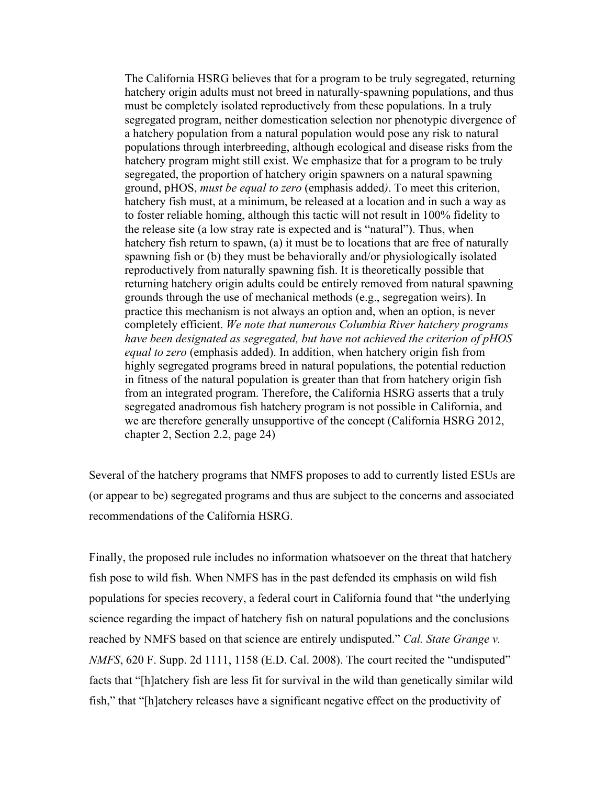The California HSRG believes that for a program to be truly segregated, returning hatchery origin adults must not breed in naturally-spawning populations, and thus must be completely isolated reproductively from these populations. In a truly segregated program, neither domestication selection nor phenotypic divergence of a hatchery population from a natural population would pose any risk to natural populations through interbreeding, although ecological and disease risks from the hatchery program might still exist. We emphasize that for a program to be truly segregated, the proportion of hatchery origin spawners on a natural spawning ground, pHOS, *must be equal to zero* (emphasis added*)*. To meet this criterion, hatchery fish must, at a minimum, be released at a location and in such a way as to foster reliable homing, although this tactic will not result in 100% fidelity to the release site (a low stray rate is expected and is "natural"). Thus, when hatchery fish return to spawn, (a) it must be to locations that are free of naturally spawning fish or (b) they must be behaviorally and/or physiologically isolated reproductively from naturally spawning fish. It is theoretically possible that returning hatchery origin adults could be entirely removed from natural spawning grounds through the use of mechanical methods (e.g., segregation weirs). In practice this mechanism is not always an option and, when an option, is never completely efficient. *We note that numerous Columbia River hatchery programs have been designated as segregated, but have not achieved the criterion of pHOS equal to zero* (emphasis added). In addition, when hatchery origin fish from highly segregated programs breed in natural populations, the potential reduction in fitness of the natural population is greater than that from hatchery origin fish from an integrated program. Therefore, the California HSRG asserts that a truly segregated anadromous fish hatchery program is not possible in California, and we are therefore generally unsupportive of the concept (California HSRG 2012, chapter 2, Section 2.2, page 24)

Several of the hatchery programs that NMFS proposes to add to currently listed ESUs are (or appear to be) segregated programs and thus are subject to the concerns and associated recommendations of the California HSRG.

Finally, the proposed rule includes no information whatsoever on the threat that hatchery fish pose to wild fish. When NMFS has in the past defended its emphasis on wild fish populations for species recovery, a federal court in California found that "the underlying science regarding the impact of hatchery fish on natural populations and the conclusions reached by NMFS based on that science are entirely undisputed." *Cal. State Grange v. NMFS*, 620 F. Supp. 2d 1111, 1158 (E.D. Cal. 2008). The court recited the "undisputed" facts that "[h]atchery fish are less fit for survival in the wild than genetically similar wild fish," that "[h]atchery releases have a significant negative effect on the productivity of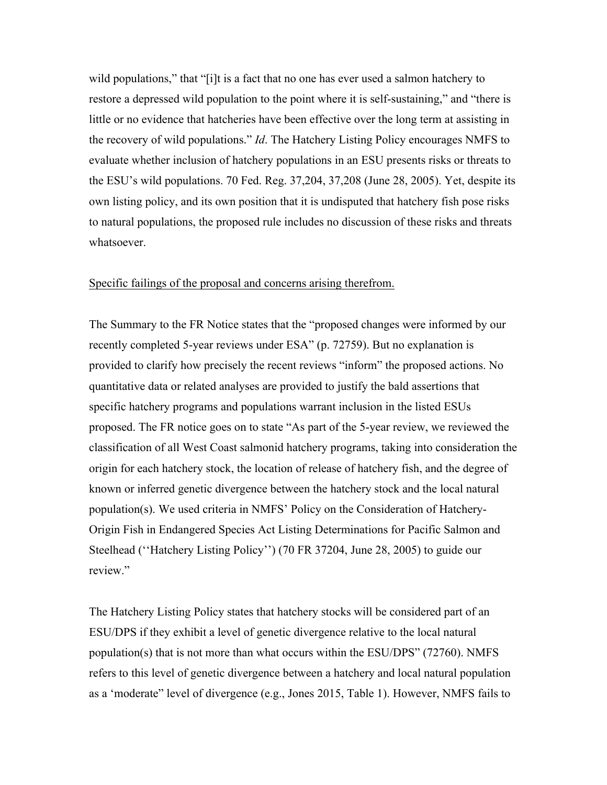wild populations," that "[i]t is a fact that no one has ever used a salmon hatchery to restore a depressed wild population to the point where it is self-sustaining," and "there is little or no evidence that hatcheries have been effective over the long term at assisting in the recovery of wild populations." *Id*. The Hatchery Listing Policy encourages NMFS to evaluate whether inclusion of hatchery populations in an ESU presents risks or threats to the ESU's wild populations. 70 Fed. Reg. 37,204, 37,208 (June 28, 2005). Yet, despite its own listing policy, and its own position that it is undisputed that hatchery fish pose risks to natural populations, the proposed rule includes no discussion of these risks and threats whatsoever.

#### Specific failings of the proposal and concerns arising therefrom.

The Summary to the FR Notice states that the "proposed changes were informed by our recently completed 5-year reviews under ESA" (p. 72759). But no explanation is provided to clarify how precisely the recent reviews "inform" the proposed actions. No quantitative data or related analyses are provided to justify the bald assertions that specific hatchery programs and populations warrant inclusion in the listed ESUs proposed. The FR notice goes on to state "As part of the 5-year review, we reviewed the classification of all West Coast salmonid hatchery programs, taking into consideration the origin for each hatchery stock, the location of release of hatchery fish, and the degree of known or inferred genetic divergence between the hatchery stock and the local natural population(s). We used criteria in NMFS' Policy on the Consideration of Hatchery-Origin Fish in Endangered Species Act Listing Determinations for Pacific Salmon and Steelhead (''Hatchery Listing Policy'') (70 FR 37204, June 28, 2005) to guide our review."

The Hatchery Listing Policy states that hatchery stocks will be considered part of an ESU/DPS if they exhibit a level of genetic divergence relative to the local natural population(s) that is not more than what occurs within the ESU/DPS" (72760). NMFS refers to this level of genetic divergence between a hatchery and local natural population as a 'moderate" level of divergence (e.g., Jones 2015, Table 1). However, NMFS fails to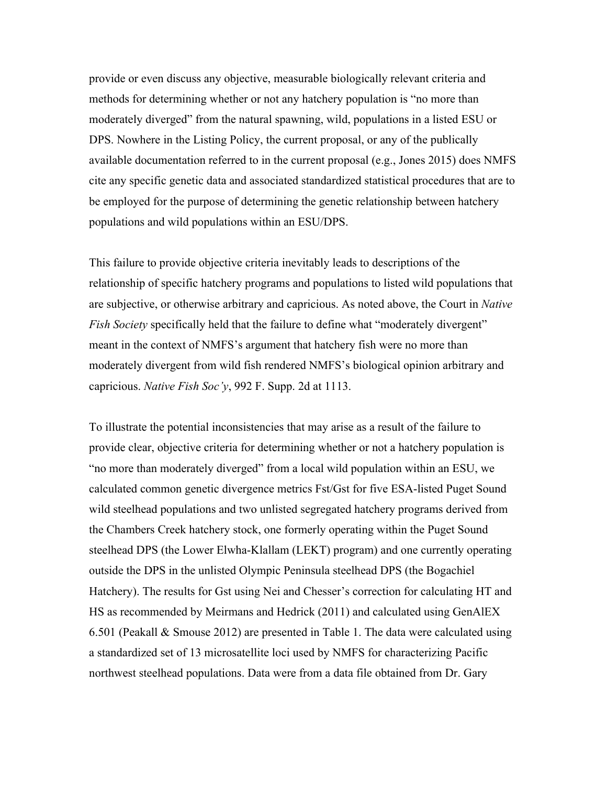provide or even discuss any objective, measurable biologically relevant criteria and methods for determining whether or not any hatchery population is "no more than moderately diverged" from the natural spawning, wild, populations in a listed ESU or DPS. Nowhere in the Listing Policy, the current proposal, or any of the publically available documentation referred to in the current proposal (e.g., Jones 2015) does NMFS cite any specific genetic data and associated standardized statistical procedures that are to be employed for the purpose of determining the genetic relationship between hatchery populations and wild populations within an ESU/DPS.

This failure to provide objective criteria inevitably leads to descriptions of the relationship of specific hatchery programs and populations to listed wild populations that are subjective, or otherwise arbitrary and capricious. As noted above, the Court in *Native Fish Society* specifically held that the failure to define what "moderately divergent" meant in the context of NMFS's argument that hatchery fish were no more than moderately divergent from wild fish rendered NMFS's biological opinion arbitrary and capricious. *Native Fish Soc'y*, 992 F. Supp. 2d at 1113.

To illustrate the potential inconsistencies that may arise as a result of the failure to provide clear, objective criteria for determining whether or not a hatchery population is "no more than moderately diverged" from a local wild population within an ESU, we calculated common genetic divergence metrics Fst/Gst for five ESA-listed Puget Sound wild steelhead populations and two unlisted segregated hatchery programs derived from the Chambers Creek hatchery stock, one formerly operating within the Puget Sound steelhead DPS (the Lower Elwha-Klallam (LEKT) program) and one currently operating outside the DPS in the unlisted Olympic Peninsula steelhead DPS (the Bogachiel Hatchery). The results for Gst using Nei and Chesser's correction for calculating HT and HS as recommended by Meirmans and Hedrick (2011) and calculated using GenAlEX 6.501 (Peakall & Smouse 2012) are presented in Table 1. The data were calculated using a standardized set of 13 microsatellite loci used by NMFS for characterizing Pacific northwest steelhead populations. Data were from a data file obtained from Dr. Gary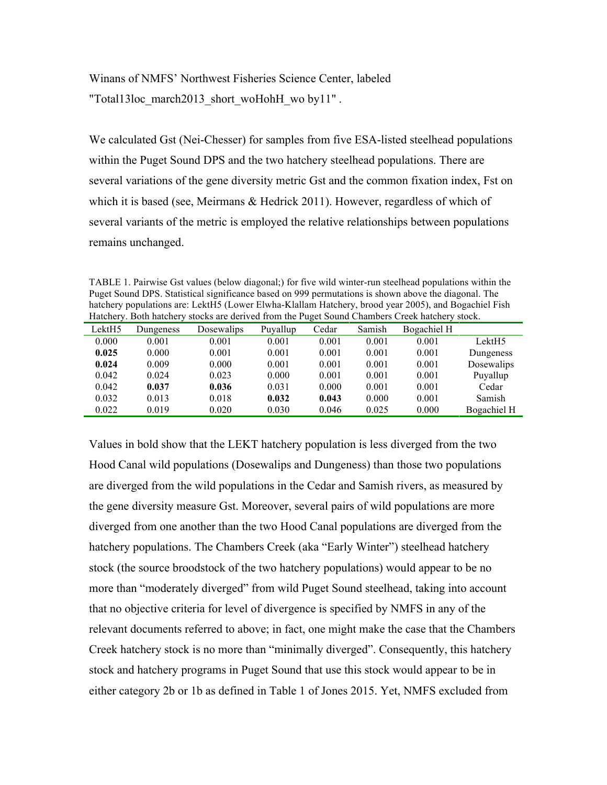Winans of NMFS' Northwest Fisheries Science Center, labeled "Total13loc\_march2013\_short\_woHohH\_wo by11".

We calculated Gst (Nei-Chesser) for samples from five ESA-listed steelhead populations within the Puget Sound DPS and the two hatchery steelhead populations. There are several variations of the gene diversity metric Gst and the common fixation index, Fst on which it is based (see, Meirmans & Hedrick 2011). However, regardless of which of several variants of the metric is employed the relative relationships between populations remains unchanged.

TABLE 1. Pairwise Gst values (below diagonal;) for five wild winter-run steelhead populations within the Puget Sound DPS. Statistical significance based on 999 permutations is shown above the diagonal. The hatchery populations are: LektH5 (Lower Elwha-Klallam Hatchery, brood year 2005), and Bogachiel Fish Hatchery. Both hatchery stocks are derived from the Puget Sound Chambers Creek hatchery stock.

| Traightly. Dom nateliery stocks are gerryed from the Fuger bound Chambers Creek nateliery stock. |           |            |          |       |        |             |                    |
|--------------------------------------------------------------------------------------------------|-----------|------------|----------|-------|--------|-------------|--------------------|
| LektH5                                                                                           | Dungeness | Dosewalips | Puvallup | Cedar | Samish | Bogachiel H |                    |
| 0.000                                                                                            | 0.001     | 0.001      | 0.001    | 0.001 | 0.001  | 0.001       | Lekt <sub>H5</sub> |
| 0.025                                                                                            | 0.000     | 0.001      | 0.001    | 0.001 | 0.001  | 0.001       | Dungeness          |
| 0.024                                                                                            | 0.009     | 0.000      | 0.001    | 0.001 | 0.001  | 0.001       | Dosewalips         |
| 0.042                                                                                            | 0.024     | 0.023      | 0.000    | 0.001 | 0.001  | 0.001       | Puvallup           |
| 0.042                                                                                            | 0.037     | 0.036      | 0.031    | 0.000 | 0.001  | 0.001       | Cedar              |
| 0.032                                                                                            | 0.013     | 0.018      | 0.032    | 0.043 | 0.000  | 0.001       | Samish             |
| 0.022                                                                                            | 0.019     | 0.020      | 0.030    | 0.046 | 0.025  | 0.000       | Bogachiel H        |

Values in bold show that the LEKT hatchery population is less diverged from the two Hood Canal wild populations (Dosewalips and Dungeness) than those two populations are diverged from the wild populations in the Cedar and Samish rivers, as measured by the gene diversity measure Gst. Moreover, several pairs of wild populations are more diverged from one another than the two Hood Canal populations are diverged from the hatchery populations. The Chambers Creek (aka "Early Winter") steelhead hatchery stock (the source broodstock of the two hatchery populations) would appear to be no more than "moderately diverged" from wild Puget Sound steelhead, taking into account that no objective criteria for level of divergence is specified by NMFS in any of the relevant documents referred to above; in fact, one might make the case that the Chambers Creek hatchery stock is no more than "minimally diverged". Consequently, this hatchery stock and hatchery programs in Puget Sound that use this stock would appear to be in either category 2b or 1b as defined in Table 1 of Jones 2015. Yet, NMFS excluded from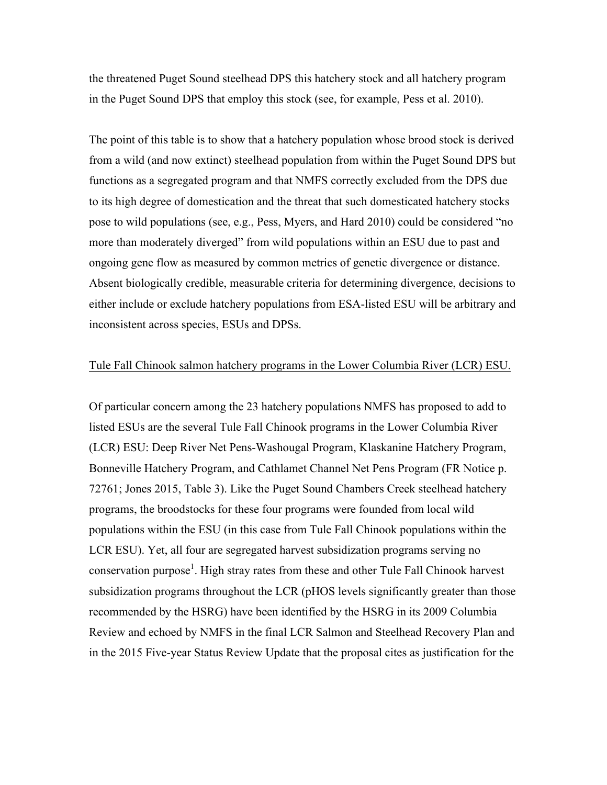the threatened Puget Sound steelhead DPS this hatchery stock and all hatchery program in the Puget Sound DPS that employ this stock (see, for example, Pess et al. 2010).

The point of this table is to show that a hatchery population whose brood stock is derived from a wild (and now extinct) steelhead population from within the Puget Sound DPS but functions as a segregated program and that NMFS correctly excluded from the DPS due to its high degree of domestication and the threat that such domesticated hatchery stocks pose to wild populations (see, e.g., Pess, Myers, and Hard 2010) could be considered "no more than moderately diverged" from wild populations within an ESU due to past and ongoing gene flow as measured by common metrics of genetic divergence or distance. Absent biologically credible, measurable criteria for determining divergence, decisions to either include or exclude hatchery populations from ESA-listed ESU will be arbitrary and inconsistent across species, ESUs and DPSs.

#### Tule Fall Chinook salmon hatchery programs in the Lower Columbia River (LCR) ESU.

Of particular concern among the 23 hatchery populations NMFS has proposed to add to listed ESUs are the several Tule Fall Chinook programs in the Lower Columbia River (LCR) ESU: Deep River Net Pens-Washougal Program, Klaskanine Hatchery Program, Bonneville Hatchery Program, and Cathlamet Channel Net Pens Program (FR Notice p. 72761; Jones 2015, Table 3). Like the Puget Sound Chambers Creek steelhead hatchery programs, the broodstocks for these four programs were founded from local wild populations within the ESU (in this case from Tule Fall Chinook populations within the LCR ESU). Yet, all four are segregated harvest subsidization programs serving no conservation purpose<sup>1</sup>. High stray rates from these and other Tule Fall Chinook harvest subsidization programs throughout the LCR (pHOS levels significantly greater than those recommended by the HSRG) have been identified by the HSRG in its 2009 Columbia Review and echoed by NMFS in the final LCR Salmon and Steelhead Recovery Plan and in the 2015 Five-year Status Review Update that the proposal cites as justification for the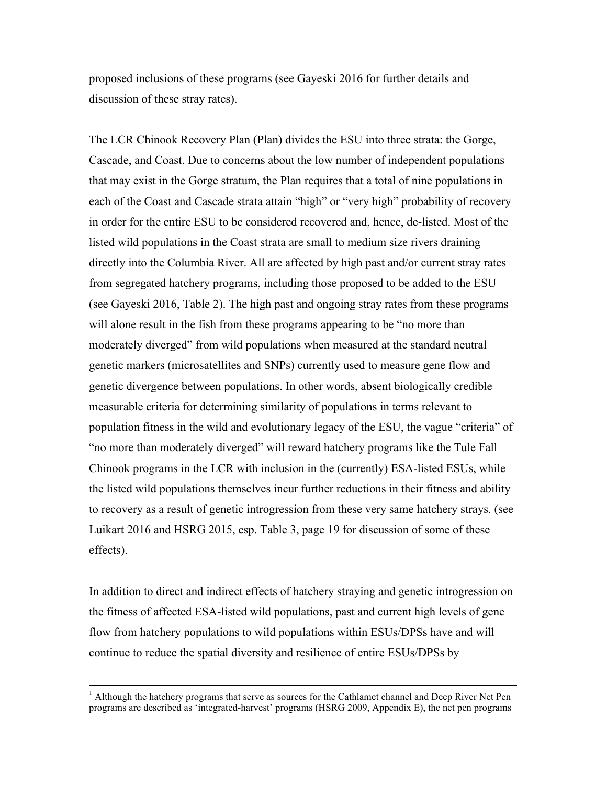proposed inclusions of these programs (see Gayeski 2016 for further details and discussion of these stray rates).

The LCR Chinook Recovery Plan (Plan) divides the ESU into three strata: the Gorge, Cascade, and Coast. Due to concerns about the low number of independent populations that may exist in the Gorge stratum, the Plan requires that a total of nine populations in each of the Coast and Cascade strata attain "high" or "very high" probability of recovery in order for the entire ESU to be considered recovered and, hence, de-listed. Most of the listed wild populations in the Coast strata are small to medium size rivers draining directly into the Columbia River. All are affected by high past and/or current stray rates from segregated hatchery programs, including those proposed to be added to the ESU (see Gayeski 2016, Table 2). The high past and ongoing stray rates from these programs will alone result in the fish from these programs appearing to be "no more than moderately diverged" from wild populations when measured at the standard neutral genetic markers (microsatellites and SNPs) currently used to measure gene flow and genetic divergence between populations. In other words, absent biologically credible measurable criteria for determining similarity of populations in terms relevant to population fitness in the wild and evolutionary legacy of the ESU, the vague "criteria" of "no more than moderately diverged" will reward hatchery programs like the Tule Fall Chinook programs in the LCR with inclusion in the (currently) ESA-listed ESUs, while the listed wild populations themselves incur further reductions in their fitness and ability to recovery as a result of genetic introgression from these very same hatchery strays. (see Luikart 2016 and HSRG 2015, esp. Table 3, page 19 for discussion of some of these effects).

In addition to direct and indirect effects of hatchery straying and genetic introgression on the fitness of affected ESA-listed wild populations, past and current high levels of gene flow from hatchery populations to wild populations within ESUs/DPSs have and will continue to reduce the spatial diversity and resilience of entire ESUs/DPSs by

<u>.</u>

 $<sup>1</sup>$  Although the hatchery programs that serve as sources for the Cathlamet channel and Deep River Net Pen</sup> programs are described as 'integrated-harvest' programs (HSRG 2009, Appendix E), the net pen programs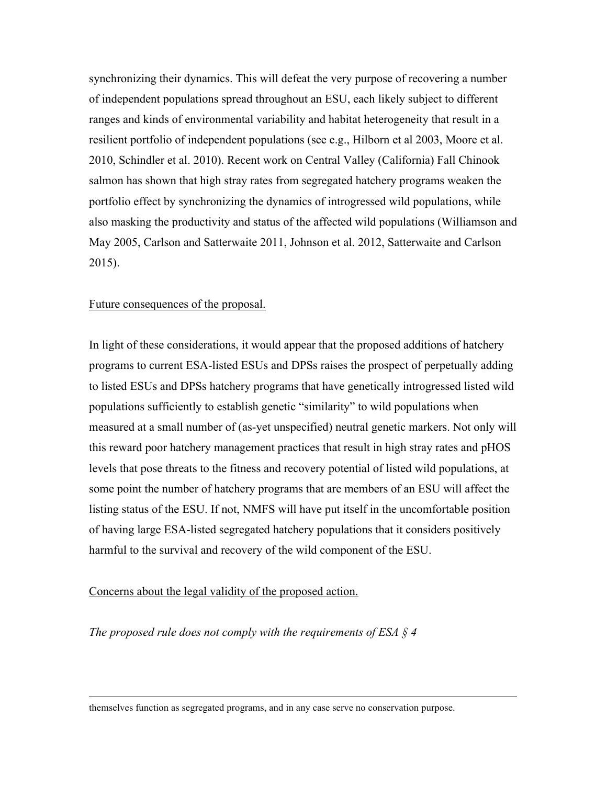synchronizing their dynamics. This will defeat the very purpose of recovering a number of independent populations spread throughout an ESU, each likely subject to different ranges and kinds of environmental variability and habitat heterogeneity that result in a resilient portfolio of independent populations (see e.g., Hilborn et al 2003, Moore et al. 2010, Schindler et al. 2010). Recent work on Central Valley (California) Fall Chinook salmon has shown that high stray rates from segregated hatchery programs weaken the portfolio effect by synchronizing the dynamics of introgressed wild populations, while also masking the productivity and status of the affected wild populations (Williamson and May 2005, Carlson and Satterwaite 2011, Johnson et al. 2012, Satterwaite and Carlson 2015).

#### Future consequences of the proposal.

In light of these considerations, it would appear that the proposed additions of hatchery programs to current ESA-listed ESUs and DPSs raises the prospect of perpetually adding to listed ESUs and DPSs hatchery programs that have genetically introgressed listed wild populations sufficiently to establish genetic "similarity" to wild populations when measured at a small number of (as-yet unspecified) neutral genetic markers. Not only will this reward poor hatchery management practices that result in high stray rates and pHOS levels that pose threats to the fitness and recovery potential of listed wild populations, at some point the number of hatchery programs that are members of an ESU will affect the listing status of the ESU. If not, NMFS will have put itself in the uncomfortable position of having large ESA-listed segregated hatchery populations that it considers positively harmful to the survival and recovery of the wild component of the ESU.

## Concerns about the legal validity of the proposed action.

-

*The proposed rule does not comply with the requirements of ESA § 4* 

themselves function as segregated programs, and in any case serve no conservation purpose.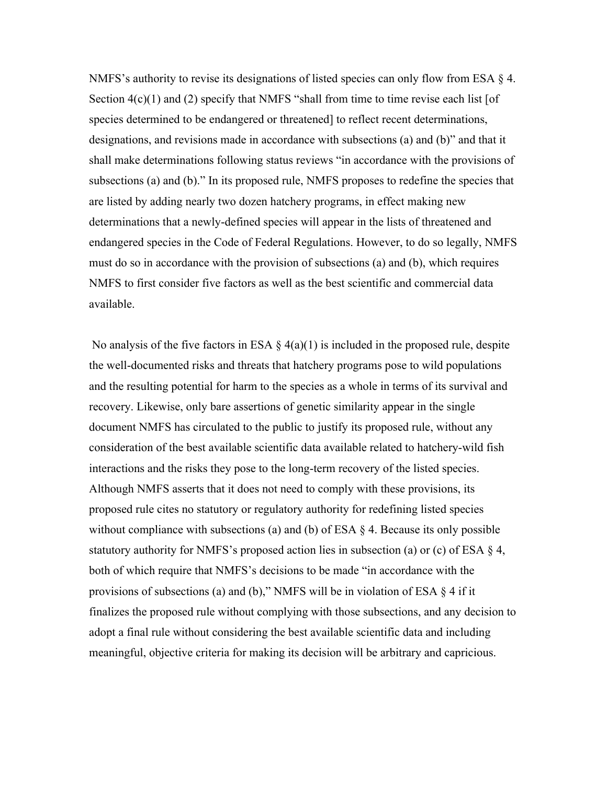NMFS's authority to revise its designations of listed species can only flow from ESA § 4. Section  $4(c)(1)$  and (2) specify that NMFS "shall from time to time revise each list [of species determined to be endangered or threatened] to reflect recent determinations, designations, and revisions made in accordance with subsections (a) and (b)" and that it shall make determinations following status reviews "in accordance with the provisions of subsections (a) and (b)." In its proposed rule, NMFS proposes to redefine the species that are listed by adding nearly two dozen hatchery programs, in effect making new determinations that a newly-defined species will appear in the lists of threatened and endangered species in the Code of Federal Regulations. However, to do so legally, NMFS must do so in accordance with the provision of subsections (a) and (b), which requires NMFS to first consider five factors as well as the best scientific and commercial data available.

No analysis of the five factors in ESA  $\S$  4(a)(1) is included in the proposed rule, despite the well-documented risks and threats that hatchery programs pose to wild populations and the resulting potential for harm to the species as a whole in terms of its survival and recovery. Likewise, only bare assertions of genetic similarity appear in the single document NMFS has circulated to the public to justify its proposed rule, without any consideration of the best available scientific data available related to hatchery-wild fish interactions and the risks they pose to the long-term recovery of the listed species. Although NMFS asserts that it does not need to comply with these provisions, its proposed rule cites no statutory or regulatory authority for redefining listed species without compliance with subsections (a) and (b) of ESA § 4. Because its only possible statutory authority for NMFS's proposed action lies in subsection (a) or (c) of ESA § 4, both of which require that NMFS's decisions to be made "in accordance with the provisions of subsections (a) and (b)," NMFS will be in violation of ESA § 4 if it finalizes the proposed rule without complying with those subsections, and any decision to adopt a final rule without considering the best available scientific data and including meaningful, objective criteria for making its decision will be arbitrary and capricious.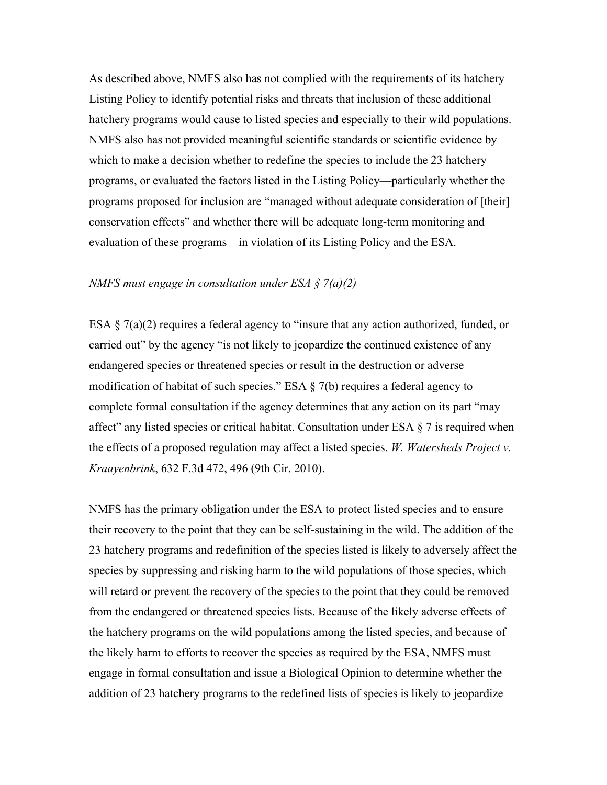As described above, NMFS also has not complied with the requirements of its hatchery Listing Policy to identify potential risks and threats that inclusion of these additional hatchery programs would cause to listed species and especially to their wild populations. NMFS also has not provided meaningful scientific standards or scientific evidence by which to make a decision whether to redefine the species to include the 23 hatchery programs, or evaluated the factors listed in the Listing Policy—particularly whether the programs proposed for inclusion are "managed without adequate consideration of [their] conservation effects" and whether there will be adequate long-term monitoring and evaluation of these programs—in violation of its Listing Policy and the ESA.

#### *NMFS must engage in consultation under ESA § 7(a)(2)*

ESA § 7(a)(2) requires a federal agency to "insure that any action authorized, funded, or carried out" by the agency "is not likely to jeopardize the continued existence of any endangered species or threatened species or result in the destruction or adverse modification of habitat of such species." ESA  $\S$  7(b) requires a federal agency to complete formal consultation if the agency determines that any action on its part "may affect" any listed species or critical habitat. Consultation under ESA  $\S$  7 is required when the effects of a proposed regulation may affect a listed species. *W. Watersheds Project v. Kraayenbrink*, 632 F.3d 472, 496 (9th Cir. 2010).

NMFS has the primary obligation under the ESA to protect listed species and to ensure their recovery to the point that they can be self-sustaining in the wild. The addition of the 23 hatchery programs and redefinition of the species listed is likely to adversely affect the species by suppressing and risking harm to the wild populations of those species, which will retard or prevent the recovery of the species to the point that they could be removed from the endangered or threatened species lists. Because of the likely adverse effects of the hatchery programs on the wild populations among the listed species, and because of the likely harm to efforts to recover the species as required by the ESA, NMFS must engage in formal consultation and issue a Biological Opinion to determine whether the addition of 23 hatchery programs to the redefined lists of species is likely to jeopardize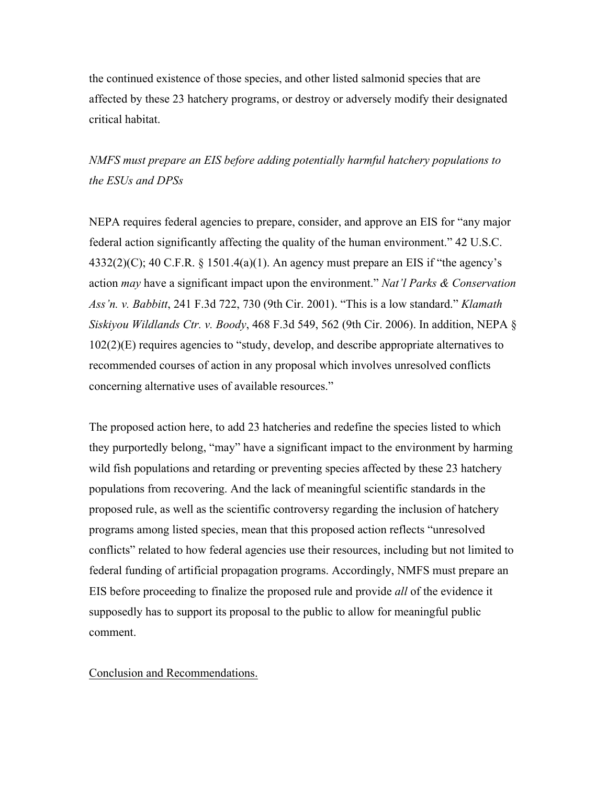the continued existence of those species, and other listed salmonid species that are affected by these 23 hatchery programs, or destroy or adversely modify their designated critical habitat.

*NMFS must prepare an EIS before adding potentially harmful hatchery populations to the ESUs and DPSs* 

NEPA requires federal agencies to prepare, consider, and approve an EIS for "any major federal action significantly affecting the quality of the human environment." 42 U.S.C.  $4332(2)(C)$ ; 40 C.F.R. § 1501.4(a)(1). An agency must prepare an EIS if "the agency's action *may* have a significant impact upon the environment." *Nat'l Parks & Conservation Ass'n. v. Babbitt*, 241 F.3d 722, 730 (9th Cir. 2001). "This is a low standard." *Klamath Siskiyou Wildlands Ctr. v. Boody*, 468 F.3d 549, 562 (9th Cir. 2006). In addition, NEPA § 102(2)(E) requires agencies to "study, develop, and describe appropriate alternatives to recommended courses of action in any proposal which involves unresolved conflicts concerning alternative uses of available resources."

The proposed action here, to add 23 hatcheries and redefine the species listed to which they purportedly belong, "may" have a significant impact to the environment by harming wild fish populations and retarding or preventing species affected by these 23 hatchery populations from recovering. And the lack of meaningful scientific standards in the proposed rule, as well as the scientific controversy regarding the inclusion of hatchery programs among listed species, mean that this proposed action reflects "unresolved conflicts" related to how federal agencies use their resources, including but not limited to federal funding of artificial propagation programs. Accordingly, NMFS must prepare an EIS before proceeding to finalize the proposed rule and provide *all* of the evidence it supposedly has to support its proposal to the public to allow for meaningful public comment.

### Conclusion and Recommendations.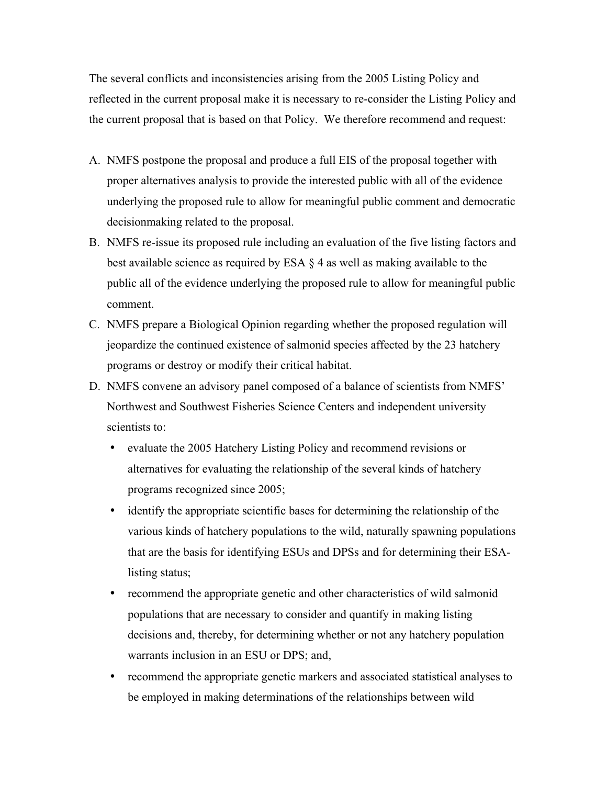The several conflicts and inconsistencies arising from the 2005 Listing Policy and reflected in the current proposal make it is necessary to re-consider the Listing Policy and the current proposal that is based on that Policy. We therefore recommend and request:

- A. NMFS postpone the proposal and produce a full EIS of the proposal together with proper alternatives analysis to provide the interested public with all of the evidence underlying the proposed rule to allow for meaningful public comment and democratic decisionmaking related to the proposal.
- B. NMFS re-issue its proposed rule including an evaluation of the five listing factors and best available science as required by ESA § 4 as well as making available to the public all of the evidence underlying the proposed rule to allow for meaningful public comment.
- C. NMFS prepare a Biological Opinion regarding whether the proposed regulation will jeopardize the continued existence of salmonid species affected by the 23 hatchery programs or destroy or modify their critical habitat.
- D. NMFS convene an advisory panel composed of a balance of scientists from NMFS' Northwest and Southwest Fisheries Science Centers and independent university scientists to:
	- evaluate the 2005 Hatchery Listing Policy and recommend revisions or alternatives for evaluating the relationship of the several kinds of hatchery programs recognized since 2005;
	- identify the appropriate scientific bases for determining the relationship of the various kinds of hatchery populations to the wild, naturally spawning populations that are the basis for identifying ESUs and DPSs and for determining their ESAlisting status;
	- recommend the appropriate genetic and other characteristics of wild salmonid populations that are necessary to consider and quantify in making listing decisions and, thereby, for determining whether or not any hatchery population warrants inclusion in an ESU or DPS; and,
	- recommend the appropriate genetic markers and associated statistical analyses to be employed in making determinations of the relationships between wild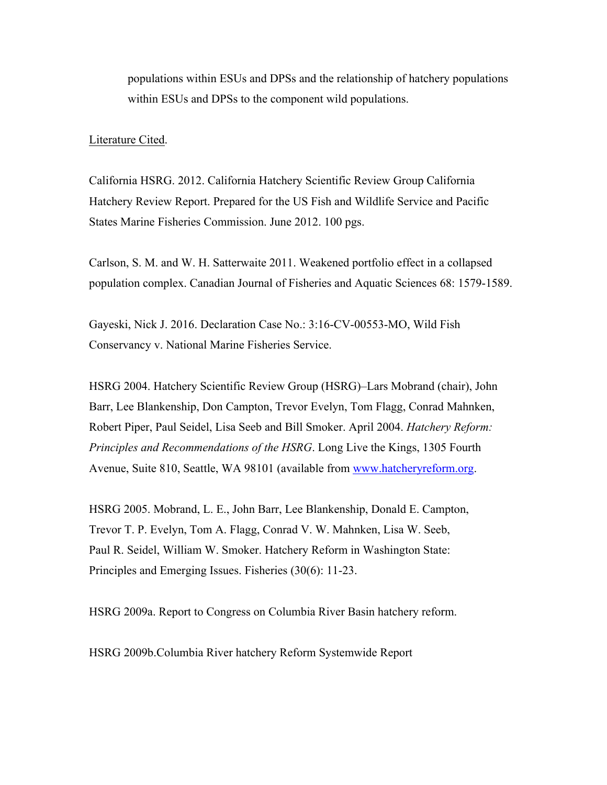populations within ESUs and DPSs and the relationship of hatchery populations within ESUs and DPSs to the component wild populations.

#### Literature Cited.

California HSRG. 2012. California Hatchery Scientific Review Group California Hatchery Review Report. Prepared for the US Fish and Wildlife Service and Pacific States Marine Fisheries Commission. June 2012. 100 pgs.

Carlson, S. M. and W. H. Satterwaite 2011. Weakened portfolio effect in a collapsed population complex. Canadian Journal of Fisheries and Aquatic Sciences 68: 1579-1589.

Gayeski, Nick J. 2016. Declaration Case No.: 3:16-CV-00553-MO, Wild Fish Conservancy v. National Marine Fisheries Service.

HSRG 2004. Hatchery Scientific Review Group (HSRG)–Lars Mobrand (chair), John Barr, Lee Blankenship, Don Campton, Trevor Evelyn, Tom Flagg, Conrad Mahnken, Robert Piper, Paul Seidel, Lisa Seeb and Bill Smoker. April 2004. *Hatchery Reform: Principles and Recommendations of the HSRG*. Long Live the Kings, 1305 Fourth Avenue, Suite 810, Seattle, WA 98101 (available from www.hatcheryreform.org.

HSRG 2005. Mobrand, L. E., John Barr, Lee Blankenship, Donald E. Campton, Trevor T. P. Evelyn, Tom A. Flagg, Conrad V. W. Mahnken, Lisa W. Seeb, Paul R. Seidel, William W. Smoker. Hatchery Reform in Washington State: Principles and Emerging Issues. Fisheries (30(6): 11-23.

HSRG 2009a. Report to Congress on Columbia River Basin hatchery reform.

HSRG 2009b.Columbia River hatchery Reform Systemwide Report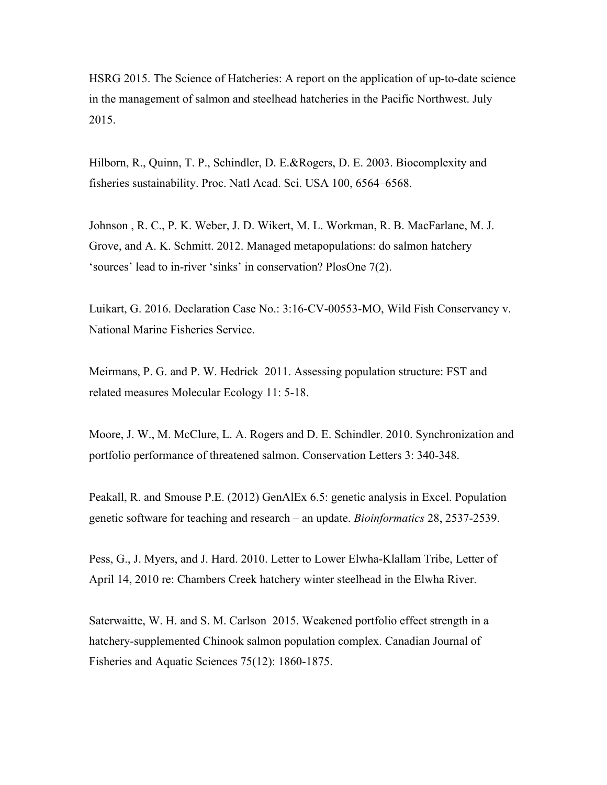HSRG 2015. The Science of Hatcheries: A report on the application of up-to-date science in the management of salmon and steelhead hatcheries in the Pacific Northwest. July  $2015.$ 

Hilborn, R., Quinn, T. P., Schindler, D. E.&Rogers, D. E. 2003. Biocomplexity and fisheries sustainability. Proc. Natl Acad. Sci. USA 100, 6564–6568.

Johnson , R. C., P. K. Weber, J. D. Wikert, M. L. Workman, R. B. MacFarlane, M. J. Grove, and A. K. Schmitt. 2012. Managed metapopulations: do salmon hatchery 'sources' lead to in-river 'sinks' in conservation? PlosOne 7(2).

Luikart, G. 2016. Declaration Case No.: 3:16-CV-00553-MO, Wild Fish Conservancy v. National Marine Fisheries Service.

Meirmans, P. G. and P. W. Hedrick 2011. Assessing population structure: FST and related measures Molecular Ecology 11: 5-18.

Moore, J. W., M. McClure, L. A. Rogers and D. E. Schindler. 2010. Synchronization and portfolio performance of threatened salmon. Conservation Letters 3: 340-348.

Peakall, R. and Smouse P.E. (2012) GenAlEx 6.5: genetic analysis in Excel. Population genetic software for teaching and research – an update. *Bioinformatics* 28, 2537-2539.

Pess, G., J. Myers, and J. Hard. 2010. Letter to Lower Elwha-Klallam Tribe, Letter of April 14, 2010 re: Chambers Creek hatchery winter steelhead in the Elwha River.

Saterwaitte, W. H. and S. M. Carlson 2015. Weakened portfolio effect strength in a hatchery-supplemented Chinook salmon population complex. Canadian Journal of Fisheries and Aquatic Sciences 75(12): 1860-1875.